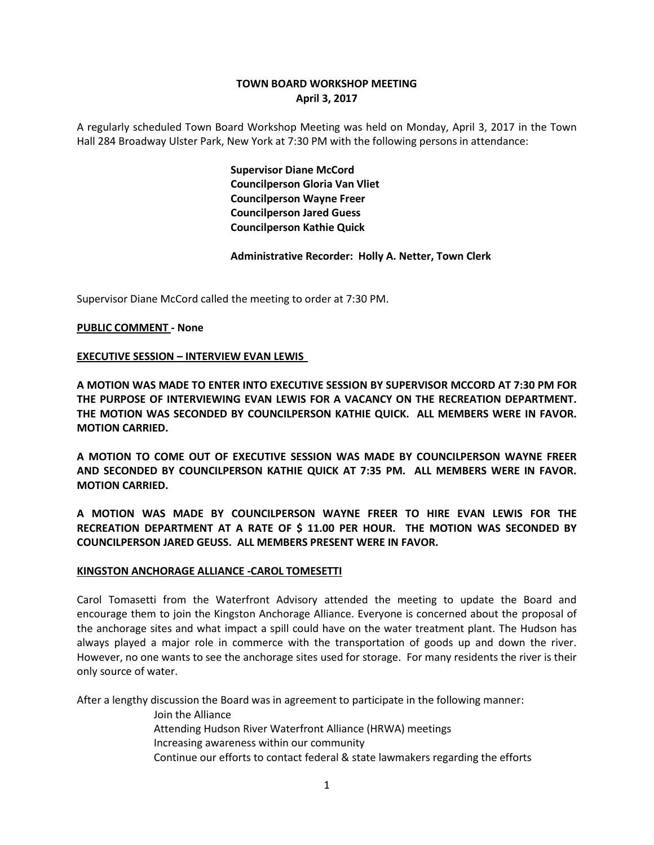# **TOWN BOARD WORKSHOP MEETING April 3, 2017**

A regularly scheduled Town Board Workshop Meeting was held on Monday, April 3, 2017 in the Town Hall 284 Broadway Ulster Park, New York at 7:30 PM with the following persons in attendance:

> **Supervisor Diane McCord Councilperson Gloria Van Vliet Councilperson Wayne Freer Councilperson Jared Guess Councilperson Kathie Quick**

**Administrative Recorder: Holly A. Netter, Town Clerk**

Supervisor Diane McCord called the meeting to order at 7:30 PM.

### **PUBLIC COMMENT - None**

### **EXECUTIVE SESSION – INTERVIEW EVAN LEWIS**

**A MOTION WAS MADE TO ENTER INTO EXECUTIVE SESSION BY SUPERVISOR MCCORD AT 7:30 PM FOR THE PURPOSE OF INTERVIEWING EVAN LEWIS FOR A VACANCY ON THE RECREATION DEPARTMENT. THE MOTION WAS SECONDED BY COUNCILPERSON KATHIE QUICK. ALL MEMBERS WERE IN FAVOR. MOTION CARRIED.**

**A MOTION TO COME OUT OF EXECUTIVE SESSION WAS MADE BY COUNCILPERSON WAYNE FREER AND SECONDED BY COUNCILPERSON KATHIE QUICK AT 7:35 PM. ALL MEMBERS WERE IN FAVOR. MOTION CARRIED.**

**A MOTION WAS MADE BY COUNCILPERSON WAYNE FREER TO HIRE EVAN LEWIS FOR THE RECREATION DEPARTMENT AT A RATE OF \$ 11.00 PER HOUR. THE MOTION WAS SECONDED BY COUNCILPERSON JARED GEUSS. ALL MEMBERS PRESENT WERE IN FAVOR.**

### **KINGSTON ANCHORAGE ALLIANCE -CAROL TOMESETTI**

Carol Tomasetti from the Waterfront Advisory attended the meeting to update the Board and encourage them to join the Kingston Anchorage Alliance. Everyone is concerned about the proposal of the anchorage sites and what impact a spill could have on the water treatment plant. The Hudson has always played a major role in commerce with the transportation of goods up and down the river. However, no one wants to see the anchorage sites used for storage. For many residents the river is their only source of water.

After a lengthy discussion the Board was in agreement to participate in the following manner:

Join the Alliance

- Attending Hudson River Waterfront Alliance (HRWA) meetings
- Increasing awareness within our community
- Continue our efforts to contact federal & state lawmakers regarding the efforts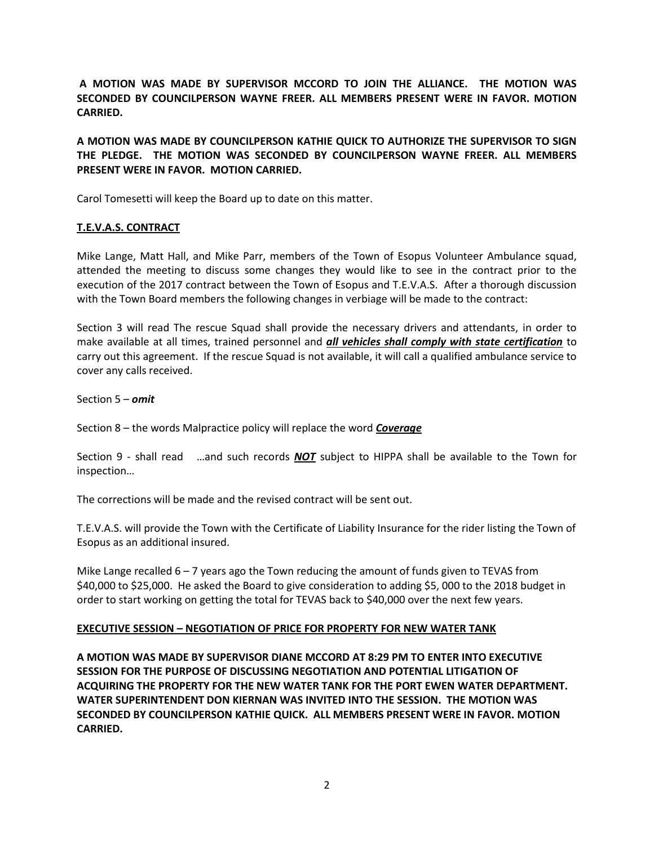**A MOTION WAS MADE BY SUPERVISOR MCCORD TO JOIN THE ALLIANCE. THE MOTION WAS SECONDED BY COUNCILPERSON WAYNE FREER. ALL MEMBERS PRESENT WERE IN FAVOR. MOTION CARRIED.** 

**A MOTION WAS MADE BY COUNCILPERSON KATHIE QUICK TO AUTHORIZE THE SUPERVISOR TO SIGN THE PLEDGE. THE MOTION WAS SECONDED BY COUNCILPERSON WAYNE FREER. ALL MEMBERS PRESENT WERE IN FAVOR. MOTION CARRIED.** 

Carol Tomesetti will keep the Board up to date on this matter.

## **T.E.V.A.S. CONTRACT**

Mike Lange, Matt Hall, and Mike Parr, members of the Town of Esopus Volunteer Ambulance squad, attended the meeting to discuss some changes they would like to see in the contract prior to the execution of the 2017 contract between the Town of Esopus and T.E.V.A.S. After a thorough discussion with the Town Board members the following changes in verbiage will be made to the contract:

Section 3 will read The rescue Squad shall provide the necessary drivers and attendants, in order to make available at all times, trained personnel and *all vehicles shall comply with state certification* to carry out this agreement. If the rescue Squad is not available, it will call a qualified ambulance service to cover any calls received.

Section 5 – *omit*

Section 8 – the words Malpractice policy will replace the word *Coverage*

Section 9 - shall read …and such records *NOT* subject to HIPPA shall be available to the Town for inspection…

The corrections will be made and the revised contract will be sent out.

T.E.V.A.S. will provide the Town with the Certificate of Liability Insurance for the rider listing the Town of Esopus as an additional insured.

Mike Lange recalled  $6 - 7$  years ago the Town reducing the amount of funds given to TEVAS from \$40,000 to \$25,000. He asked the Board to give consideration to adding \$5, 000 to the 2018 budget in order to start working on getting the total for TEVAS back to \$40,000 over the next few years.

### **EXECUTIVE SESSION – NEGOTIATION OF PRICE FOR PROPERTY FOR NEW WATER TANK**

**A MOTION WAS MADE BY SUPERVISOR DIANE MCCORD AT 8:29 PM TO ENTER INTO EXECUTIVE SESSION FOR THE PURPOSE OF DISCUSSING NEGOTIATION AND POTENTIAL LITIGATION OF ACQUIRING THE PROPERTY FOR THE NEW WATER TANK FOR THE PORT EWEN WATER DEPARTMENT. WATER SUPERINTENDENT DON KIERNAN WAS INVITED INTO THE SESSION. THE MOTION WAS SECONDED BY COUNCILPERSON KATHIE QUICK. ALL MEMBERS PRESENT WERE IN FAVOR. MOTION CARRIED.**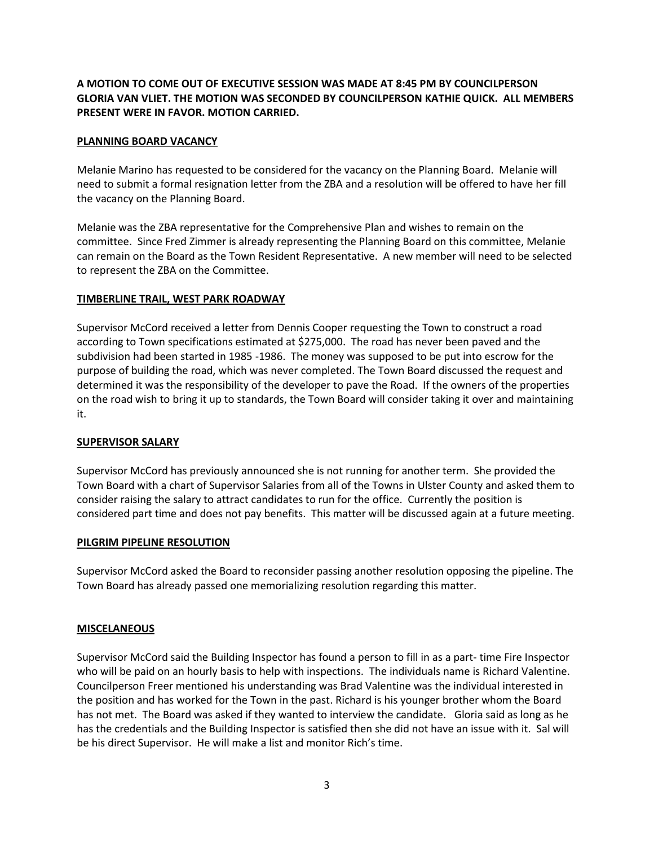# **A MOTION TO COME OUT OF EXECUTIVE SESSION WAS MADE AT 8:45 PM BY COUNCILPERSON GLORIA VAN VLIET. THE MOTION WAS SECONDED BY COUNCILPERSON KATHIE QUICK. ALL MEMBERS PRESENT WERE IN FAVOR. MOTION CARRIED.**

## **PLANNING BOARD VACANCY**

Melanie Marino has requested to be considered for the vacancy on the Planning Board. Melanie will need to submit a formal resignation letter from the ZBA and a resolution will be offered to have her fill the vacancy on the Planning Board.

Melanie was the ZBA representative for the Comprehensive Plan and wishes to remain on the committee. Since Fred Zimmer is already representing the Planning Board on this committee, Melanie can remain on the Board as the Town Resident Representative. A new member will need to be selected to represent the ZBA on the Committee.

### **TIMBERLINE TRAIL, WEST PARK ROADWAY**

Supervisor McCord received a letter from Dennis Cooper requesting the Town to construct a road according to Town specifications estimated at \$275,000. The road has never been paved and the subdivision had been started in 1985 -1986. The money was supposed to be put into escrow for the purpose of building the road, which was never completed. The Town Board discussed the request and determined it was the responsibility of the developer to pave the Road. If the owners of the properties on the road wish to bring it up to standards, the Town Board will consider taking it over and maintaining it.

## **SUPERVISOR SALARY**

Supervisor McCord has previously announced she is not running for another term. She provided the Town Board with a chart of Supervisor Salaries from all of the Towns in Ulster County and asked them to consider raising the salary to attract candidates to run for the office. Currently the position is considered part time and does not pay benefits. This matter will be discussed again at a future meeting.

### **PILGRIM PIPELINE RESOLUTION**

Supervisor McCord asked the Board to reconsider passing another resolution opposing the pipeline. The Town Board has already passed one memorializing resolution regarding this matter.

### **MISCELANEOUS**

Supervisor McCord said the Building Inspector has found a person to fill in as a part- time Fire Inspector who will be paid on an hourly basis to help with inspections. The individuals name is Richard Valentine. Councilperson Freer mentioned his understanding was Brad Valentine was the individual interested in the position and has worked for the Town in the past. Richard is his younger brother whom the Board has not met. The Board was asked if they wanted to interview the candidate. Gloria said as long as he has the credentials and the Building Inspector is satisfied then she did not have an issue with it. Sal will be his direct Supervisor. He will make a list and monitor Rich's time.